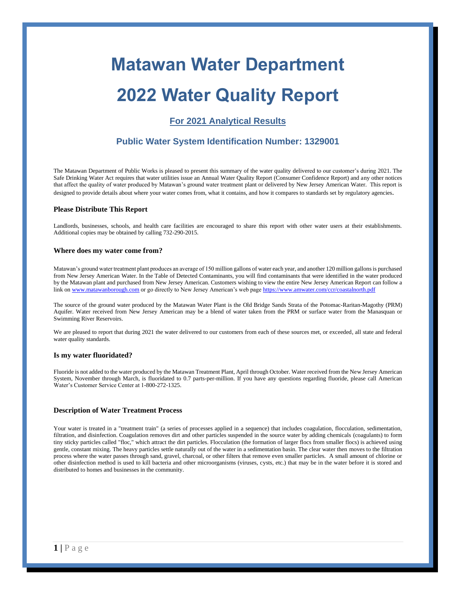# **Matawan Water Department**

# **2022 Water Quality Report**

## **For 2021 Analytical Results**

### **Public Water System Identification Number: 1329001**

The Matawan Department of Public Works is pleased to present this summary of the water quality delivered to our customer's during 2021. The Safe Drinking Water Act requires that water utilities issue an Annual Water Quality Report (Consumer Confidence Report) and any other notices that affect the quality of water produced by Matawan's ground water treatment plant or delivered by New Jersey American Water. This report is designed to provide details about where your water comes from, what it contains, and how it compares to standards set by regulatory agencies.

#### **Please Distribute This Report**

Landlords, businesses, schools, and health care facilities are encouraged to share this report with other water users at their establishments. Additional copies may be obtained by calling 732-290-2015.

#### **Where does my water come from?**

Matawan's ground water treatment plant produces an average of 150 million gallons of water each year, and another 120 million gallons is purchased from New Jersey American Water. In the Table of Detected Contaminants, you will find contaminants that were identified in the water produced by the Matawan plant and purchased from New Jersey American. Customers wishing to view the entire New Jersey American Report can follow a link o[n www.matawanborough.com](http://www.matawanborough.com/) or go directly to New Jersey American's web pag[e https://www.amwater.com/ccr/coastalnorth.pdf](https://www.amwater.com/ccr/coastalnorth.pdf)

The source of the ground water produced by the Matawan Water Plant is the Old Bridge Sands Strata of the Potomac-Raritan-Magothy (PRM) Aquifer. Water received from New Jersey American may be a blend of water taken from the PRM or surface water from the Manasquan or Swimming River Reservoirs.

We are pleased to report that during 2021 the water delivered to our customers from each of these sources met, or exceeded, all state and federal water quality standards.

#### **Is my water fluoridated?**

Fluoride is not added to the water produced by the Matawan Treatment Plant, April through October. Water received from the New Jersey American System, November through March, is fluoridated to 0.7 parts-per-million. If you have any questions regarding fluoride, please call American Water's Customer Service Center at 1-800-272-1325.

#### **Description of Water Treatment Process**

Your water is treated in a "treatment train" (a series of processes applied in a sequence) that includes coagulation, flocculation, sedimentation, filtration, and disinfection. Coagulation removes dirt and other particles suspended in the source water by adding chemicals (coagulants) to form tiny sticky particles called "floc," which attract the dirt particles. Flocculation (the formation of larger flocs from smaller flocs) is achieved using gentle, constant mixing. The heavy particles settle naturally out of the water in a sedimentation basin. The clear water then moves to the filtration process where the water passes through sand, gravel, charcoal, or other filters that remove even smaller particles. A small amount of chlorine or other disinfection method is used to kill bacteria and other microorganisms (viruses, cysts, etc.) that may be in the water before it is stored and distributed to homes and businesses in the community.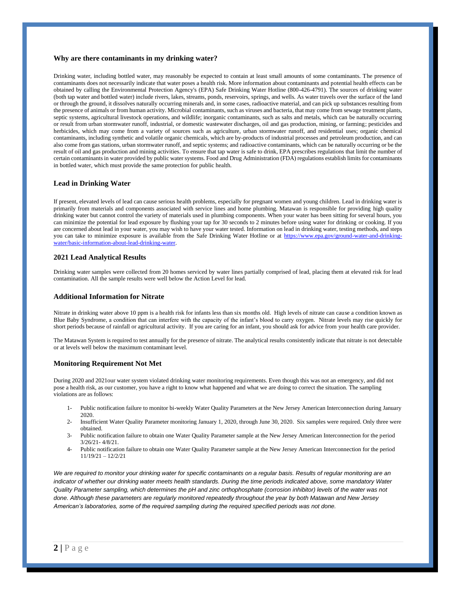#### **Why are there contaminants in my drinking water?**

Drinking water, including bottled water, may reasonably be expected to contain at least small amounts of some contaminants. The presence of contaminants does not necessarily indicate that water poses a health risk. More information about contaminants and potential health effects can be obtained by calling the Environmental Protection Agency's (EPA) Safe Drinking Water Hotline (800-426-4791). The sources of drinking water (both tap water and bottled water) include rivers, lakes, streams, ponds, reservoirs, springs, and wells. As water travels over the surface of the land or through the ground, it dissolves naturally occurring minerals and, in some cases, radioactive material, and can pick up substances resulting from the presence of animals or from human activity. Microbial contaminants, such as viruses and bacteria, that may come from sewage treatment plants, septic systems, agricultural livestock operations, and wildlife; inorganic contaminants, such as salts and metals, which can be naturally occurring or result from urban stormwater runoff, industrial, or domestic wastewater discharges, oil and gas production, mining, or farming; pesticides and herbicides, which may come from a variety of sources such as agriculture, urban stormwater runoff, and residential uses; organic chemical contaminants, including synthetic and volatile organic chemicals, which are by-products of industrial processes and petroleum production, and can also come from gas stations, urban stormwater runoff, and septic systems; and radioactive contaminants, which can be naturally occurring or be the result of oil and gas production and mining activities. To ensure that tap water is safe to drink, EPA prescribes regulations that limit the number of certain contaminants in water provided by public water systems. Food and Drug Administration (FDA) regulations establish limits for contaminants in bottled water, which must provide the same protection for public health.

#### **Lead in Drinking Water**

If present, elevated levels of lead can cause serious health problems, especially for pregnant women and young children. Lead in drinking water is primarily from materials and components associated with service lines and home plumbing. Matawan is responsible for providing high quality drinking water but cannot control the variety of materials used in plumbing components. When your water has been sitting for several hours, you can minimize the potential for lead exposure by flushing your tap for 30 seconds to 2 minutes before using water for drinking or cooking. If you are concerned about lead in your water, you may wish to have your water tested. Information on lead in drinking water, testing methods, and steps you can take to minimize exposure is available from the Safe Drinking Water Hotline or at [https://www.epa.gov/ground-water-and-drinking](https://www.epa.gov/ground-water-and-drinking-water/basic-information-about-lead-drinking-water)[water/basic-information-about-lead-drinking-water.](https://www.epa.gov/ground-water-and-drinking-water/basic-information-about-lead-drinking-water)

#### **2021 Lead Analytical Results**

Drinking water samples were collected from 20 homes serviced by water lines partially comprised of lead, placing them at elevated risk for lead contamination. All the sample results were well below the Action Level for lead.

#### **Additional Information for Nitrate**

Nitrate in drinking water above 10 ppm is a health risk for infants less than six months old. High levels of nitrate can cause a condition known as Blue Baby Syndrome, a condition that can interfere with the capacity of the infant's blood to carry oxygen. Nitrate levels may rise quickly for short periods because of rainfall or agricultural activity. If you are caring for an infant, you should ask for advice from your health care provider.

The Matawan System is required to test annually for the presence of nitrate. The analytical results consistently indicate that nitrate is not detectable or at levels well below the maximum contaminant level.

#### **Monitoring Requirement Not Met**

During 2020 and 2021our water system violated drinking water monitoring requirements. Even though this was not an emergency, and did not pose a health risk, as our customer, you have a right to know what happened and what we are doing to correct the situation. The sampling violations are as follows:

- 1- Public notification failure to monitor bi-weekly Water Quality Parameters at the New Jersey American Interconnection during January 2020.
- 2- Insufficient Water Quality Parameter monitoring January 1, 2020, through June 30, 2020. Six samples were required. Only three were obtained.
- 3- Public notification failure to obtain one Water Quality Parameter sample at the New Jersey American Interconnection for the period 3/26/21- 4/8/21.
- 4- Public notification failure to obtain one Water Quality Parameter sample at the New Jersey American Interconnection for the period 11/19/21 – 12/2/21

*We are required to monitor your drinking water for specific contaminants on a regular basis. Results of regular monitoring are an indicator of whether our drinking water meets health standards. During the time periods indicated above, some mandatory Water Quality Parameter sampling, which determines the pH and zinc orthophosphate (corrosion inhibitor) levels of the water was not done. Although these parameters are regularly monitored repeatedly throughout the year by both Matawan and New Jersey American's laboratories, some of the required sampling during the required specified periods was not done.*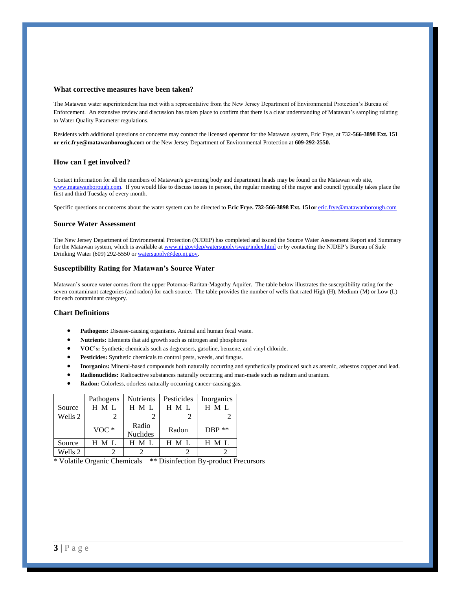#### **What corrective measures have been taken?**

The Matawan water superintendent has met with a representative from the New Jersey Department of Environmental Protection's Bureau of Enforcement. An extensive review and discussion has taken place to confirm that there is a clear understanding of Matawan's sampling relating to Water Quality Parameter regulations.

Residents with additional questions or concerns may contact the licensed operator for the Matawan system, Eric Frye, at 732**-566-3898 Ext. 151 or eric.frye@matawanborough.co**m or the New Jersey Department of Environmental Protection at **609-292-2550.**

#### **How can I get involved?**

Contact information for all the members of Matawan's governing body and department heads may be found on the Matawan web site, [www.matawanborough.com.](file:///C:/Users/John%20Applegate/Documents/2016%20Documents/NJDEP/2015%20ccr/www.matawanborough.com) If you would like to discuss issues in person, the regular meeting of the mayor and council typically takes place the first and third Tuesday of every month.

Specific questions or concerns about the water system can be directed to **Eric Frye. 732-566-3898 Ext. 151or** [eric.frye@matawanborough.com](mailto:eric.frye@matawanborough.com)

#### **Source Water Assessment**

The New Jersey Department of Environmental Protection (NJDEP) has completed and issued the Source Water Assessment Report and Summary for the Matawan system, which is available a[t www.nj.gov/dep/watersupply/swap/index.html](http://www.nj.gov/dep/watersupply/swap/index.html) or by contacting the NJDEP's Bureau of Safe Drinking Water (609) 292-5550 or watersupply@dep.nj.gov.

#### **Susceptibility Rating for Matawan's Source Water**

Matawan's source water comes from the upper Potomac-Raritan-Magothy Aquifer. The table below illustrates the susceptibility rating for the seven contaminant categories (and radon) for each source. The table provides the number of wells that rated High (H), Medium (M) or Low (L) for each contaminant category.

#### **Chart Definitions**

- **Pathogens:** Disease-causing organisms. Animal and human fecal waste.
- **Nutrients:** Elements that aid growth such as nitrogen and phosphorus
- **VOC's:** Synthetic chemicals such as degreasers, gasoline, benzene, and vinyl chloride.
- Pesticides: Synthetic chemicals to control pests, weeds, and fungus.
- **Inorganics:** Mineral-based compounds both naturally occurring and synthetically produced such as arsenic, asbestos copper and lead.
- **Radionuclides:** Radioactive substances naturally occurring and man-made such as radium and uranium.
- **Radon:** Colorless, odorless naturally occurring cancer-causing gas.

|         | Pathogens | <b>Nutrients</b>         | Pesticides | Inorganics |
|---------|-----------|--------------------------|------------|------------|
| Source  | H M L     | H M L                    | H M L      | H M L      |
| Wells 2 |           |                          |            |            |
|         | $VOC*$    | Radio<br><b>Nuclides</b> | Radon      | $DBP$ **   |
| Source  | H M L     | H M L                    | H M L      | H M L      |
| Wells 2 |           |                          |            |            |

\* Volatile Organic Chemicals \*\* Disinfection By-product Precursors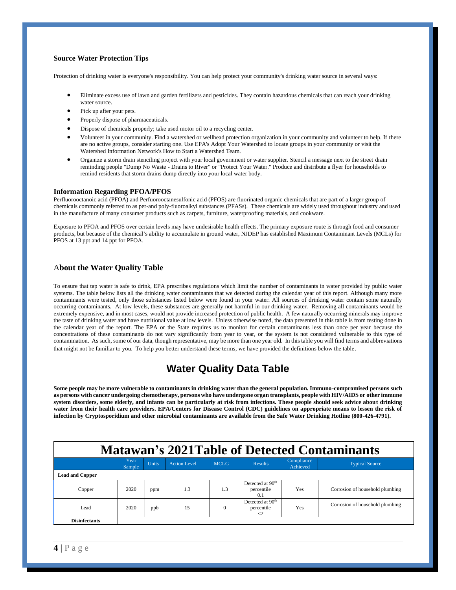#### **Source Water Protection Tips**

Protection of drinking water is everyone's responsibility. You can help protect your community's drinking water source in several ways:

- Eliminate excess use of lawn and garden fertilizers and pesticides. They contain hazardous chemicals that can reach your drinking water source.
- Pick up after your pets.
- Properly dispose of pharmaceuticals.
- Dispose of chemicals properly; take used motor oil to a recycling center.
- Volunteer in your community. Find a watershed or wellhead protection organization in your community and volunteer to help. If there are no active groups, consider starting one. Use EPA's Adopt Your Watershed to locate groups in your community or visit the Watershed Information Network's How to Start a Watershed Team.
- Organize a storm drain stenciling project with your local government or water supplier. Stencil a message next to the street drain reminding people "Dump No Waste - Drains to River" or "Protect Your Water." Produce and distribute a flyer for households to remind residents that storm drains dump directly into your local water body.

#### **Information Regarding PFOA/PFOS**

Perfluorooctanoic acid (PFOA) and Perfuorooctanesulfonic acid (PFOS) are fluorinated organic chemicals that are part of a larger group of chemicals commonly referred to as per-and poly-fluoroalkyl substances (PFASs). These chemicals are widely used throughout industry and used in the manufacture of many consumer products such as carpets, furniture, waterproofing materials, and cookware.

Exposure to PFOA and PFOS over certain levels may have undesirable health effects. The primary exposure route is through food and consumer products, but because of the chemical's ability to accumulate in ground water, NJDEP has established Maximum Contaminant Levels (MCLs) for PFOS at 13 ppt and 14 ppt for PFOA.

#### A**bout the Water Quality Table**

To ensure that tap water is safe to drink, EPA prescribes regulations which limit the number of contaminants in water provided by public water systems. The table below lists all the drinking water contaminants that we detected during the calendar year of this report. Although many more contaminants were tested, only those substances listed below were found in your water. All sources of drinking water contain some naturally occurring contaminants. At low levels, these substances are generally not harmful in our drinking water. Removing all contaminants would be extremely expensive, and in most cases, would not provide increased protection of public health. A few naturally occurring minerals may improve the taste of drinking water and have nutritional value at low levels. Unless otherwise noted, the data presented in this table is from testing done in the calendar year of the report. The EPA or the State requires us to monitor for certain contaminants less than once per year because the concentrations of these contaminants do not vary significantly from year to year, or the system is not considered vulnerable to this type of contamination. As such, some of our data, though representative, may be more than one year old. In this table you will find terms and abbreviations that might not be familiar to you. To help you better understand these terms, we have provided the definitions below the table.

# **Water Quality Data Table**

**Some people may be more vulnerable to contaminants in drinking water than the general population. Immuno-compromised persons such as persons with cancer undergoing chemotherapy, persons who have undergone organ transplants, people with HIV/AIDS or other immune system disorders, some elderly, and infants can be particularly at risk from infections. These people should seek advice about drinking water from their health care providers. EPA/Centers for Disease Control (CDC) guidelines on appropriate means to lessen the risk of infection by Cryptosporidium and other microbial contaminants are available from the Safe Water Drinking Hotline (800-426-4791).** 

# **MMatawan's 2021Table of Detected Contaminants**

|                        | Year<br>Sample | Units | <b>Action Level</b> | <b>MCLG</b> | <b>Results</b>                                                | Compliance<br>Achieved | <b>Typical Source</b>           |
|------------------------|----------------|-------|---------------------|-------------|---------------------------------------------------------------|------------------------|---------------------------------|
| <b>Lead and Copper</b> |                |       |                     |             |                                                               |                        |                                 |
| Copper                 | 2020           | ppm   | 1.3                 | 1.3         | Detected at 90 <sup>th</sup><br>percentile<br>0.1             | Yes                    | Corrosion of household plumbing |
| Lead                   | 2020           | ppb   | 15                  |             | Detected at 90 <sup>th</sup><br>percentile<br>$\triangleleft$ | Yes                    | Corrosion of household plumbing |
| <b>Disinfectants</b>   |                |       |                     |             |                                                               |                        |                                 |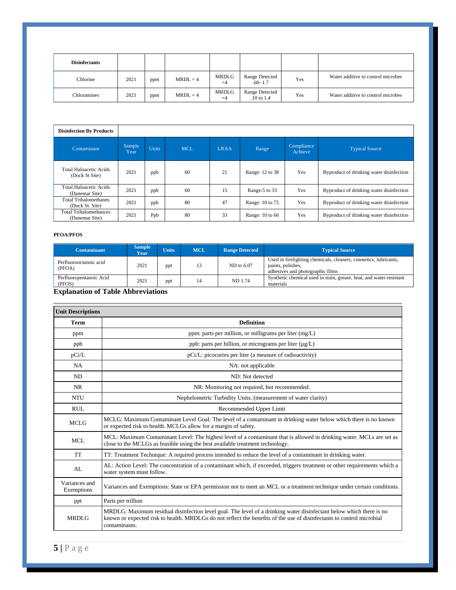| <b>Disinfectants</b> |      |     |            |                      |                                         |     |                                    |
|----------------------|------|-----|------------|----------------------|-----------------------------------------|-----|------------------------------------|
| Chlorine             | 2021 | ppm | $MRDL = 4$ | <b>MRDLG</b><br>$=4$ | Range Detected<br>$.60 - 1.7$           | Yes | Water additive to control microbes |
| Chloramines          | 2021 | ppm | $MRDL = 4$ | MRDLG<br>$=4$        | <b>Range Detected</b><br>$.10$ to $1.4$ | Yes | Water additive to control microbes |

| <b>Disinfection By Products</b>                 |                |              |            |             |                 |                       |                                          |
|-------------------------------------------------|----------------|--------------|------------|-------------|-----------------|-----------------------|------------------------------------------|
| Contaminant                                     | Sample<br>Year | <b>Units</b> | <b>MCL</b> | <b>LRAA</b> | Range           | Compliance<br>Achieve | <b>Typical Source</b>                    |
| <b>Total Haloacetic Acids</b><br>(Dock St Site) | 2021           | ppb          | 60         | 21          | Range: 12 to 38 | Yes                   | Byproduct of drinking water disinfection |
| <b>Total Haloacetic Acids</b><br>(Danemar Site) | 2021           | ppb          | 60         | 15          | Range: 5 to 33  | Yes                   | Byproduct of drinking water disinfection |
| <b>Total Trihalomethanes</b><br>(Dock St. Site) | 2021           | ppb          | 80         | 47          | Range: 10 to 75 | Yes                   | Byproduct of drinking water disinfection |
| <b>Total Trihalomethances</b><br>(Danemar Site) | 2021           | Ppb          | 80         | 33          | Range: 10 to 66 | Yes                   | Byproduct of drinking water disinfection |

#### **PFOA/PFOS**

| <b>Contaminant</b>                | <b>Sample</b><br>Year | <b>Units</b> | <b>MCL</b> | <b>Range Detected</b> | <b>Typical Source</b>                                                                                                     |
|-----------------------------------|-----------------------|--------------|------------|-----------------------|---------------------------------------------------------------------------------------------------------------------------|
| Perfluorooctanoic acid<br>(PFOA)  | 2021                  | ppt          | 13         | ND to 6.07            | Used in firefighting chemicals, cleaners, cosmetics, lubricants,<br>paints, polishes,<br>adhesives and photographic films |
| Perfluoropentanoic Acid<br>(PFOS) | 2021                  | ppt          | 14         | ND 1.74               | Synthetic chemical used in stain, grease, heat, and water-resistant<br>materials                                          |

#### **Explanation of Table Abbreviations**

| <b>Unit Descriptions</b>    |                                                                                                                                                                                                                                                               |
|-----------------------------|---------------------------------------------------------------------------------------------------------------------------------------------------------------------------------------------------------------------------------------------------------------|
| Term                        | <b>Definition</b>                                                                                                                                                                                                                                             |
| ppm                         | ppm: parts per million, or milligrams per liter (mg/L)                                                                                                                                                                                                        |
| ppb                         | ppb: parts per billion, or micrograms per liter (µg/L)                                                                                                                                                                                                        |
| pCi/L                       | pCi/L: picocuries per liter (a measure of radioactivity)                                                                                                                                                                                                      |
| <b>NA</b>                   | NA: not applicable                                                                                                                                                                                                                                            |
| ND                          | ND: Not detected                                                                                                                                                                                                                                              |
| <b>NR</b>                   | NR: Monitoring not required, but recommended.                                                                                                                                                                                                                 |
| <b>NTU</b>                  | Nephelometric Turbidity Units. (measurement of water clarity)                                                                                                                                                                                                 |
| <b>RUL</b>                  | Recommended Upper Limit                                                                                                                                                                                                                                       |
| <b>MCLG</b>                 | MCLG: Maximum Contaminant Level Goal: The level of a contaminant in drinking water below which there is no known<br>or expected risk to health. MCLGs allow for a margin of safety.                                                                           |
| <b>MCL</b>                  | MCL: Maximum Contaminant Level: The highest level of a contaminant that is allowed in drinking water. MCLs are set as<br>close to the MCLGs as feasible using the best available treatment technology.                                                        |
| <b>TT</b>                   | TT: Treatment Technique: A required process intended to reduce the level of a contaminant in drinking water.                                                                                                                                                  |
| AL                          | AL: Action Level: The concentration of a contaminant which, if exceeded, triggers treatment or other requirements which a<br>water system must follow.                                                                                                        |
| Variances and<br>Exemptions | Variances and Exemptions: State or EPA permission not to meet an MCL or a treatment technique under certain conditions.                                                                                                                                       |
| ppt                         | Parts per trillion                                                                                                                                                                                                                                            |
| <b>MRDLG</b>                | MRDLG: Maximum residual disinfection level goal. The level of a drinking water disinfectant below which there is no<br>known or expected risk to health. MRDLGs do not reflect the benefits of the use of disinfectants to control microbial<br>contaminants. |